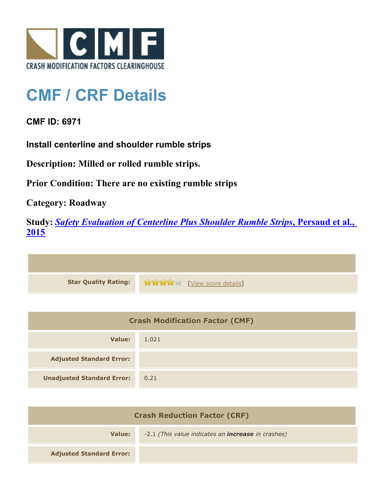

## **CMF / CRF Details**

## **CMF ID: 6971**

**Install centerline and shoulder rumble strips**

**Description: Milled or rolled rumble strips.**

**Prior Condition: There are no existing rumble strips**

**Category: Roadway**

**Study:** *[Safety Evaluation of Centerline Plus Shoulder Rumble Strips](http://www.cmfclearinghouse.org/study_detail.cfm?stid=411)***[, Persaud et al.,](http://www.cmfclearinghouse.org/study_detail.cfm?stid=411) [2015](http://www.cmfclearinghouse.org/study_detail.cfm?stid=411)**



| <b>Crash Modification Factor (CMF)</b> |       |
|----------------------------------------|-------|
| Value:                                 | 1.021 |
| <b>Adjusted Standard Error:</b>        |       |
| <b>Unadjusted Standard Error:</b>      | 0.21  |

| <b>Crash Reduction Factor (CRF)</b> |                                                           |
|-------------------------------------|-----------------------------------------------------------|
| Value:                              | -2.1 (This value indicates an <b>increase</b> in crashes) |
| <b>Adjusted Standard Error:</b>     |                                                           |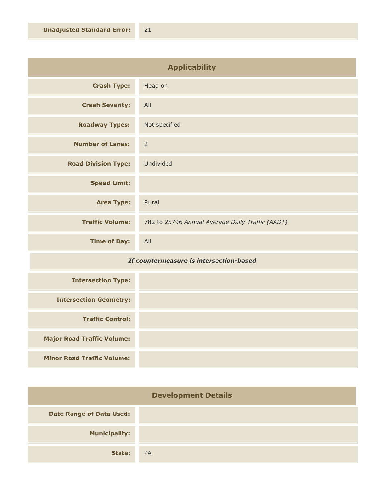| <b>Applicability</b>       |                                                  |
|----------------------------|--------------------------------------------------|
| <b>Crash Type:</b>         | Head on                                          |
| <b>Crash Severity:</b>     | All                                              |
| <b>Roadway Types:</b>      | Not specified                                    |
| <b>Number of Lanes:</b>    | $\overline{2}$                                   |
| <b>Road Division Type:</b> | Undivided                                        |
| <b>Speed Limit:</b>        |                                                  |
| <b>Area Type:</b>          | Rural                                            |
| <b>Traffic Volume:</b>     | 782 to 25796 Annual Average Daily Traffic (AADT) |
| <b>Time of Day:</b>        | All                                              |

## *If countermeasure is intersection-based*

| <b>Intersection Type:</b>         |  |
|-----------------------------------|--|
| <b>Intersection Geometry:</b>     |  |
| <b>Traffic Control:</b>           |  |
| <b>Major Road Traffic Volume:</b> |  |
| <b>Minor Road Traffic Volume:</b> |  |

| <b>Development Details</b>      |           |
|---------------------------------|-----------|
| <b>Date Range of Data Used:</b> |           |
| <b>Municipality:</b>            |           |
| State:                          | <b>PA</b> |